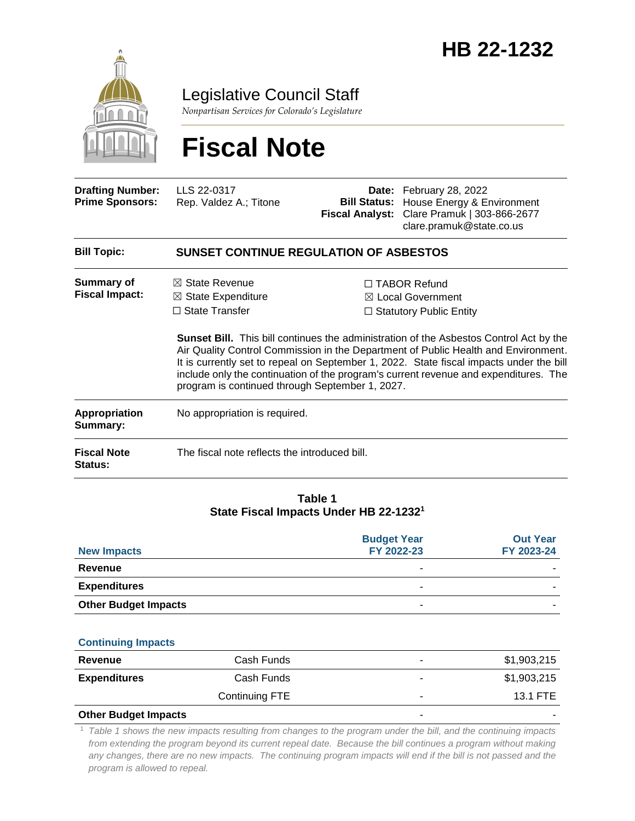

Legislative Council Staff

*Nonpartisan Services for Colorado's Legislature*

# **Fiscal Note**

| <b>Bill Topic:</b>                                | <b>SUNSET CONTINUE REGULATION OF ASBESTOS</b> |                                                                                                                                                             |
|---------------------------------------------------|-----------------------------------------------|-------------------------------------------------------------------------------------------------------------------------------------------------------------|
| <b>Drafting Number:</b><br><b>Prime Sponsors:</b> | LLS 22-0317<br>Rep. Valdez A.; Titone         | <b>Date:</b> February 28, 2022<br><b>Bill Status:</b> House Energy & Environment<br>Fiscal Analyst: Clare Pramuk   303-866-2677<br>clare.pramuk@state.co.us |

| Summary of            | $\boxtimes$ State Revenue     | $\Box$ TABOR Refund          |
|-----------------------|-------------------------------|------------------------------|
| <b>Fiscal Impact:</b> | $\boxtimes$ State Expenditure | $\boxtimes$ Local Government |
|                       | $\Box$ State Transfer         | □ Statutory Public Entity    |

**Sunset Bill.** This bill continues the administration of the Asbestos Control Act by the Air Quality Control Commission in the Department of Public Health and Environment. It is currently set to repeal on September 1, 2022. State fiscal impacts under the bill include only the continuation of the program's current revenue and expenditures. The program is continued through September 1, 2027.

| Appropriation<br>Summary:            | No appropriation is required.                 |
|--------------------------------------|-----------------------------------------------|
| <b>Fiscal Note</b><br><b>Status:</b> | The fiscal note reflects the introduced bill. |

#### **Table 1 State Fiscal Impacts Under HB 22-1232<sup>1</sup>**

| <b>New Impacts</b>          | <b>Budget Year</b><br>FY 2022-23 | <b>Out Year</b><br>FY 2023-24 |
|-----------------------------|----------------------------------|-------------------------------|
| Revenue                     |                                  |                               |
| <b>Expenditures</b>         |                                  |                               |
| <b>Other Budget Impacts</b> | $\sim$                           |                               |

#### **Continuing Impacts**

| Revenue                     | Cash Funds     | ۰ | \$1,903,215 |
|-----------------------------|----------------|---|-------------|
| <b>Expenditures</b>         | Cash Funds     |   | \$1,903,215 |
|                             | Continuing FTE | ۰ | 13.1 FTE    |
| <b>Other Budget Impacts</b> |                | - |             |

#### <sup>1</sup> *Table 1 shows the new impacts resulting from changes to the program under the bill, and the continuing impacts from extending the program beyond its current repeal date. Because the bill continues a program without making* any changes, there are no new impacts. The continuing program impacts will end if the bill is not passed and the *program is allowed to repeal.*